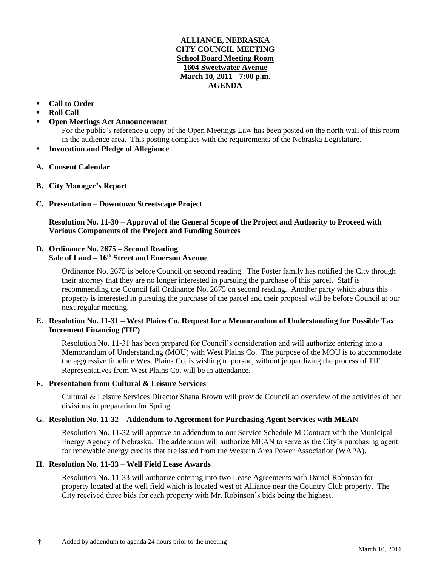#### **ALLIANCE, NEBRASKA CITY COUNCIL MEETING School Board Meeting Room 1604 Sweetwater Avenue March 10, 2011 - 7:00 p.m. AGENDA**

- **Call to Order**
- **Roll Call**
- **Open Meetings Act Announcement**

For the public's reference a copy of the Open Meetings Law has been posted on the north wall of this room in the audience area. This posting complies with the requirements of the Nebraska Legislature.

- **Invocation and Pledge of Allegiance**
- **A. Consent Calendar**
- **B. City Manager's Report**
- **C. Presentation – Downtown Streetscape Project**

## **Resolution No. 11-30 – Approval of the General Scope of the Project and Authority to Proceed with Various Components of the Project and Funding Sources**

# **D. Ordinance No. 2675 – Second Reading**

## **Sale of Land – 16th Street and Emerson Avenue**

Ordinance No. 2675 is before Council on second reading. The Foster family has notified the City through their attorney that they are no longer interested in pursuing the purchase of this parcel. Staff is recommending the Council fail Ordinance No. 2675 on second reading. Another party which abuts this property is interested in pursuing the purchase of the parcel and their proposal will be before Council at our next regular meeting.

#### **E. Resolution No. 11-31 – West Plains Co. Request for a Memorandum of Understanding for Possible Tax Increment Financing (TIF)**

Resolution No. 11-31 has been prepared for Council's consideration and will authorize entering into a Memorandum of Understanding (MOU) with West Plains Co. The purpose of the MOU is to accommodate the aggressive timeline West Plains Co. is wishing to pursue, without jeopardizing the process of TIF. Representatives from West Plains Co. will be in attendance.

## **F. Presentation from Cultural & Leisure Services**

Cultural & Leisure Services Director Shana Brown will provide Council an overview of the activities of her divisions in preparation for Spring.

## **G. Resolution No. 11-32 – Addendum to Agreement for Purchasing Agent Services with MEAN**

Resolution No. 11-32 will approve an addendum to our Service Schedule M Contract with the Municipal Energy Agency of Nebraska. The addendum will authorize MEAN to serve as the City's purchasing agent for renewable energy credits that are issued from the Western Area Power Association (WAPA).

## **H. Resolution No. 11-33 – Well Field Lease Awards**

Resolution No. 11-33 will authorize entering into two Lease Agreements with Daniel Robinson for property located at the well field which is located west of Alliance near the Country Club property. The City received three bids for each property with Mr. Robinson's bids being the highest.